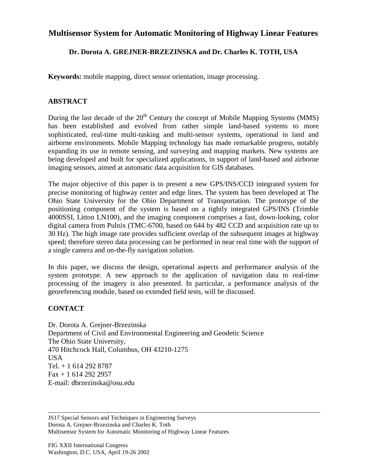## **Multisensor System for Automatic Monitoring of Highway Linear Features**

## **Dr. Dorota A. GREJNER-BRZEZINSKA and Dr. Charles K. TOTH, USA**

**Keywords:** mobile mapping, direct sensor orientation, image processing.

## **ABSTRACT**

During the last decade of the  $20<sup>th</sup>$  Century the concept of Mobile Mapping Systems (MMS) has been established and evolved from rather simple land-based systems to more sophisticated, real-time multi-tasking and multi-sensor systems, operational in land and airborne environments. Mobile Mapping technology has made remarkable progress, notably expanding its use in remote sensing, and surveying and mapping markets. New systems are being developed and built for specialized applications, in support of land-based and airborne imaging sensors, aimed at automatic data acquisition for GIS databases.

The major objective of this paper is to present a new GPS/INS/CCD integrated system for precise monitoring of highway center and edge lines. The system has been developed at The Ohio State University for the Ohio Department of Transportation. The prototype of the positioning component of the system is based on a tightly integrated GPS/INS (Trimble 4000SSI, Litton LN100), and the imaging component comprises a fast, down-looking, color digital camera from Pulnix (TMC-6700, based on 644 by 482 CCD and acquisition rate up to 30 Hz). The high image rate provides sufficient overlap of the subsequent images at highway speed; therefore stereo data processing can be performed in near real time with the support of a single camera and on-the-fly navigation solution.

In this paper, we discuss the design, operational aspects and performance analysis of the system prototype. A new approach to the application of navigation data to real-time processing of the imagery is also presented. In particular, a performance analysis of the georeferencing module, based on extended field tests, will be discussed.

## **CONTACT**

Dr. Dorota A. Grejner-Brzezinska Department of Civil and Environmental Engineering and Geodetic Science The Ohio State University, 470 Hitchcock Hall, Columbus, OH 43210-1275 USA Tel. + 1 614 292 8787 Fax + 1 614 292 2957 E-mail: dbrzezinska@osu.edu

JS17 Special Sensors and Techniques in Engineering Surveys Dorota A. Grejner-Brzezinska and Charles K. Toth Multisensor System for Automatic Monitoring of Highway Linear Features